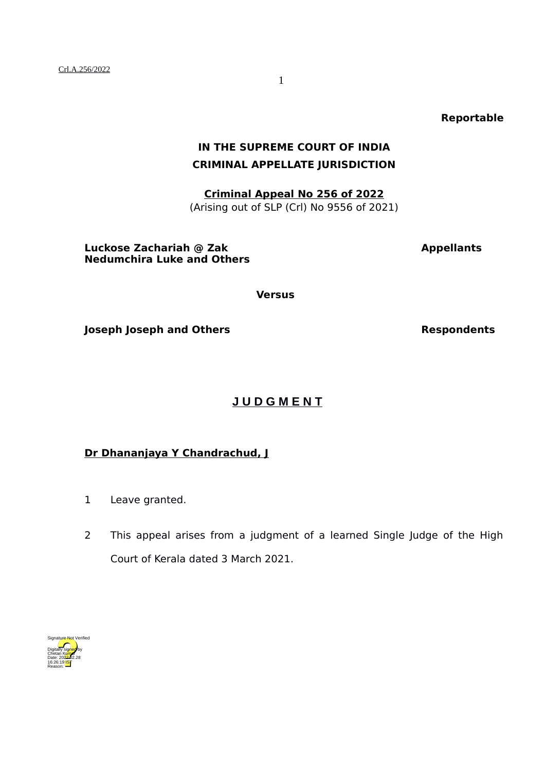**Reportable**

## **IN THE SUPREME COURT OF INDIA CRIMINAL APPELLATE JURISDICTION**

**Criminal Appeal No 256 of 2022** (Arising out of SLP (Crl) No 9556 of 2021)

**Luckose Zachariah @ Zak Appellants Appellants Nedumchira Luke and Others**

**Versus**

**Joseph Joseph and Others Respondents** 

**J U D G M E N T**

## **Dr Dhananjaya Y Chandrachud, J**

- 1 Leave granted.
- 2 This appeal arises from a judgment of a learned Single Judge of the High Court of Kerala dated 3 March 2021.

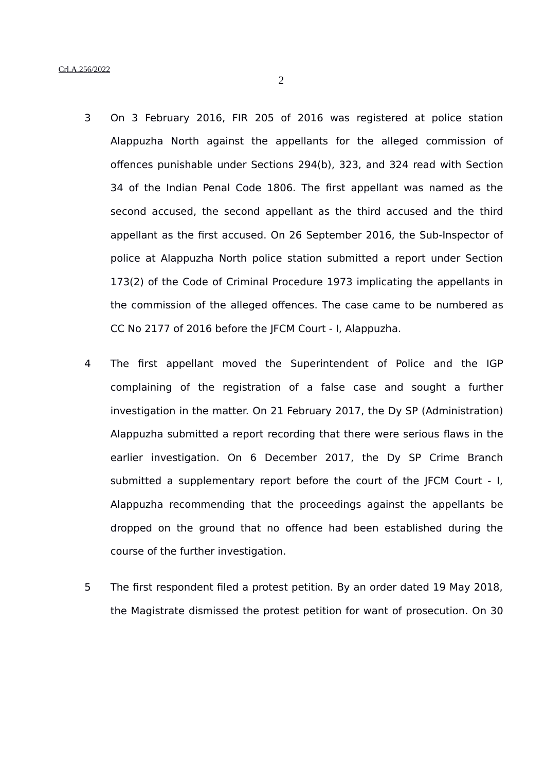- 3 On 3 February 2016, FIR 205 of 2016 was registered at police station Alappuzha North against the appellants for the alleged commission of offences punishable under Sections 294(b), 323, and 324 read with Section 34 of the Indian Penal Code 1806. The first appellant was named as the second accused, the second appellant as the third accused and the third appellant as the first accused. On 26 September 2016, the Sub-Inspector of police at Alappuzha North police station submitted a report under Section 173(2) of the Code of Criminal Procedure 1973 implicating the appellants in the commission of the alleged offences. The case came to be numbered as CC No 2177 of 2016 before the JFCM Court - I, Alappuzha.
- 4 The first appellant moved the Superintendent of Police and the IGP complaining of the registration of a false case and sought a further investigation in the matter. On 21 February 2017, the Dy SP (Administration) Alappuzha submitted a report recording that there were serious flaws in the earlier investigation. On 6 December 2017, the Dy SP Crime Branch submitted a supplementary report before the court of the JFCM Court - I, Alappuzha recommending that the proceedings against the appellants be dropped on the ground that no offence had been established during the course of the further investigation.
- 5 The first respondent filed a protest petition. By an order dated 19 May 2018, the Magistrate dismissed the protest petition for want of prosecution. On 30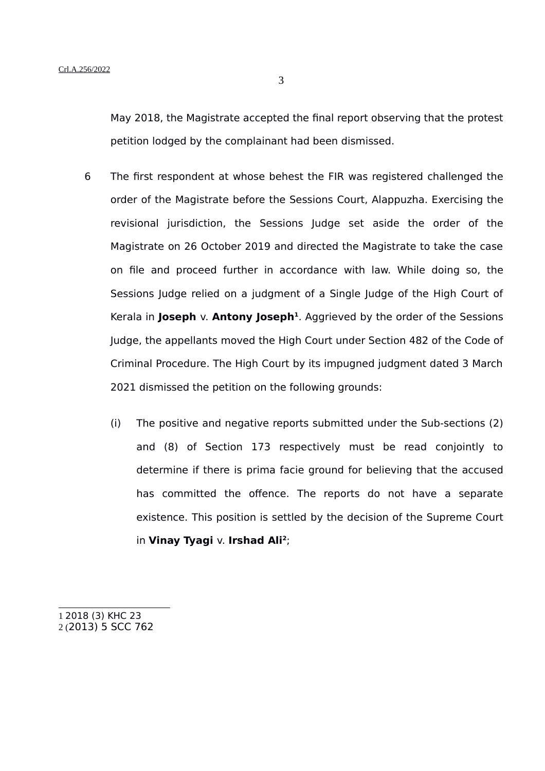May 2018, the Magistrate accepted the final report observing that the protest petition lodged by the complainant had been dismissed.

- 6 The first respondent at whose behest the FIR was registered challenged the order of the Magistrate before the Sessions Court, Alappuzha. Exercising the revisional jurisdiction, the Sessions Judge set aside the order of the Magistrate on 26 October 2019 and directed the Magistrate to take the case on file and proceed further in accordance with law. While doing so, the Sessions Judge relied on a judgment of a Single Judge of the High Court of Kerala in Joseph v. Antony Joseph<sup>[1](#page-2-0)</sup>. Aggrieved by the order of the Sessions Judge, the appellants moved the High Court under Section 482 of the Code of Criminal Procedure. The High Court by its impugned judgment dated 3 March 2021 dismissed the petition on the following grounds:
	- (i) The positive and negative reports submitted under the Sub-sections (2) and (8) of Section 173 respectively must be read conjointly to determine if there is prima facie ground for believing that the accused has committed the offence. The reports do not have a separate existence. This position is settled by the decision of the Supreme Court in **Vinay Tyagi** v. **Irshad Ali[2](#page-2-1)** ;

<span id="page-2-1"></span><span id="page-2-0"></span>1 2018 (3) KHC 23 2 (2013) 5 SCC 762 3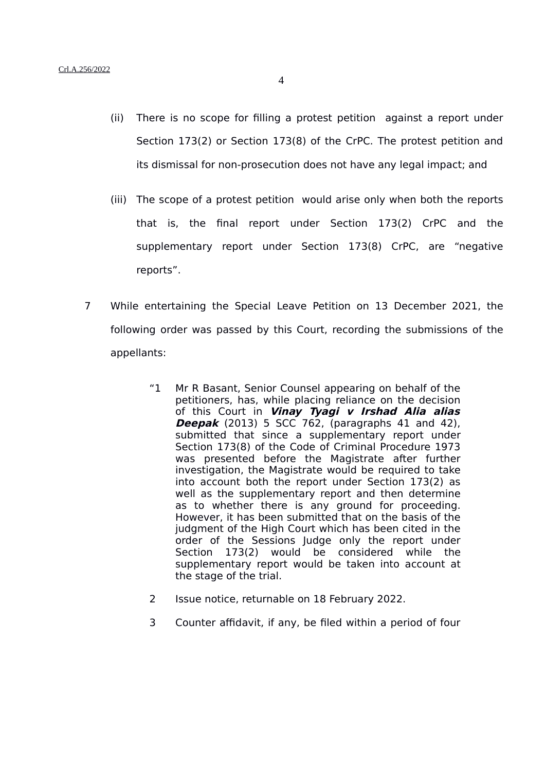- (ii) There is no scope for filling a protest petition against a report under Section 173(2) or Section 173(8) of the CrPC. The protest petition and its dismissal for non-prosecution does not have any legal impact; and
- (iii) The scope of a protest petition would arise only when both the reports that is, the final report under Section 173(2) CrPC and the supplementary report under Section 173(8) CrPC, are "negative reports".
- 7 While entertaining the Special Leave Petition on 13 December 2021, the following order was passed by this Court, recording the submissions of the appellants:
	- "1 Mr R Basant, Senior Counsel appearing on behalf of the petitioners, has, while placing reliance on the decision of this Court in **Vinay Tyagi <sup>v</sup> Irshad Alia alias Deepak** (2013) 5 SCC 762, (paragraphs 41 and 42), submitted that since a supplementary report under Section 173(8) of the Code of Criminal Procedure 1973 was presented before the Magistrate after further investigation, the Magistrate would be required to take into account both the report under Section 173(2) as well as the supplementary report and then determine as to whether there is any ground for proceeding. However, it has been submitted that on the basis of the judgment of the High Court which has been cited in the order of the Sessions Judge only the report under Section 173(2) would be considered while the supplementary report would be taken into account at the stage of the trial.
	- 2 Issue notice, returnable on 18 February 2022.
	- 3 Counter affidavit, if any, be filed within a period of four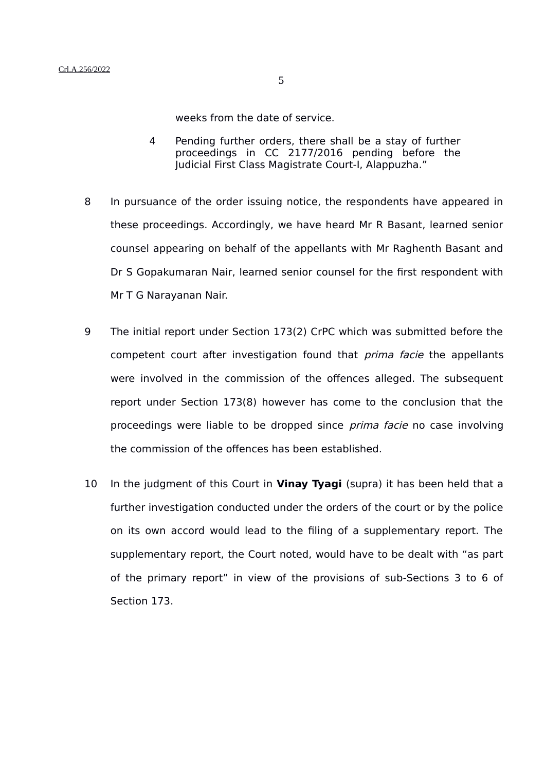weeks from the date of service.

- 4 Pending further orders, there shall be a stay of further proceedings in CC 2177/2016 pending before the Judicial First Class Magistrate Court-I, Alappuzha."
- 8 In pursuance of the order issuing notice, the respondents have appeared in these proceedings. Accordingly, we have heard Mr R Basant, learned senior counsel appearing on behalf of the appellants with Mr Raghenth Basant and Dr S Gopakumaran Nair, learned senior counsel for the first respondent with Mr T G Narayanan Nair.
- 9 The initial report under Section 173(2) CrPC which was submitted before the competent court after investigation found that *prima facie* the appellants were involved in the commission of the offences alleged. The subsequent report under Section 173(8) however has come to the conclusion that the proceedings were liable to be dropped since *prima facie* no case involving the commission of the offences has been established.
- 10 In the judgment of this Court in **Vinay Tyagi** (supra) it has been held that a further investigation conducted under the orders of the court or by the police on its own accord would lead to the filing of a supplementary report. The supplementary report, the Court noted, would have to be dealt with "as part of the primary report" in view of the provisions of sub-Sections 3 to 6 of Section 173.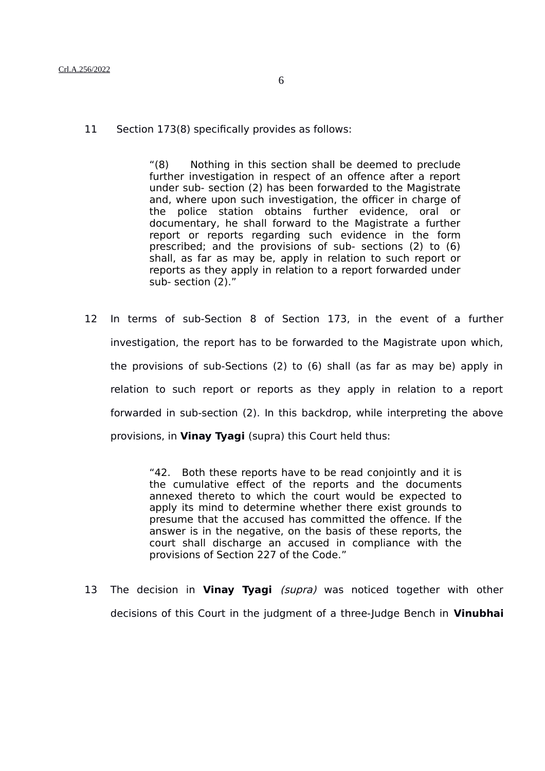## Crl.A.256/2022

11 Section 173(8) specifically provides as follows:

"(8) Nothing in this section shall be deemed to preclude further investigation in respect of an offence after a report under sub- section (2) has been forwarded to the Magistrate and, where upon such investigation, the officer in charge of the police station obtains further evidence, oral or documentary, he shall forward to the Magistrate a further report or reports regarding such evidence in the form prescribed; and the provisions of sub- sections (2) to (6) shall, as far as may be, apply in relation to such report or reports as they apply in relation to a report forwarded under sub- section (2)."

12 In terms of sub-Section 8 of Section 173, in the event of a further investigation, the report has to be forwarded to the Magistrate upon which, the provisions of sub-Sections (2) to (6) shall (as far as may be) apply in relation to such report or reports as they apply in relation to a report forwarded in sub-section (2). In this backdrop, while interpreting the above provisions, in **Vinay Tyagi** (supra) this Court held thus:

> "42. Both these reports have to be read conjointly and it is the cumulative effect of the reports and the documents annexed thereto to which the court would be expected to apply its mind to determine whether there exist grounds to presume that the accused has committed the offence. If the answer is in the negative, on the basis of these reports, the court shall discharge an accused in compliance with the provisions of Section 227 of the Code."

13 The decision in **Vinay Tyagi** (supra) was noticed together with other decisions of this Court in the judgment of a three-Judge Bench in **Vinubhai**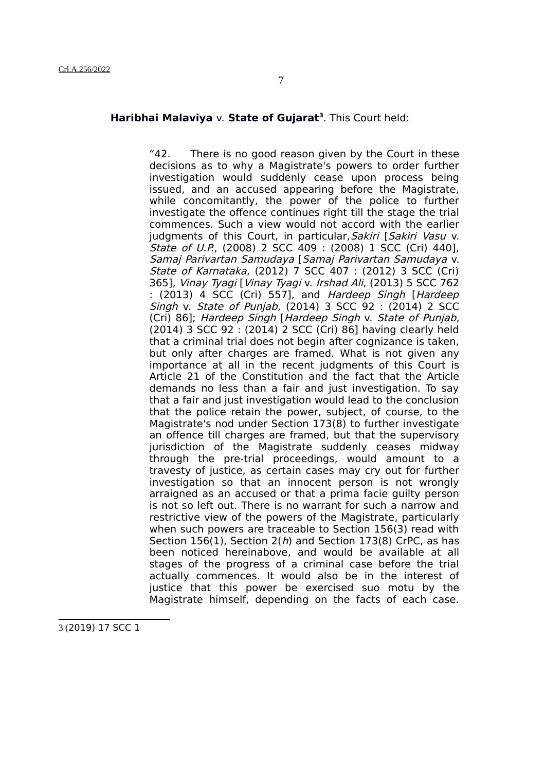## **Haribhai Malaviya** v. **State of Gujarat[3](#page-6-0)** . This Court held:

"42. There is no good reason given by the Court in these decisions as to why a Magistrate's powers to order further investigation would suddenly cease upon process being issued, and an accused appearing before the Magistrate, while concomitantly, the power of the police to further investigate the offence continues right till the stage the trial commences. Such a view would not accord with the earlier judgments of this Court, in particular, Sakiri [Sakiri Vasu v. State of U.P., (2008) 2 SCC 409 : (2008) 1 SCC (Cri) 440], Samaj Parivartan Samudaya [Samaj Parivartan Samudaya v. State of Karnataka, (2012) 7 SCC 407 : (2012) 3 SCC (Cri) 365], Vinay Tyagi [Vinay Tyagi v. Irshad Ali, (2013) 5 SCC 762 : (2013) 4 SCC (Cri) 557], and Hardeep Singh [Hardeep Singh v. State of Punjab, (2014) 3 SCC 92 : (2014) 2 SCC (Cri) 86]; Hardeep Singh [Hardeep Singh v. State of Punjab, (2014) 3 SCC 92 : (2014) 2 SCC (Cri) 86] having clearly held that a criminal trial does not begin after cognizance is taken, but only after charges are framed. What is not given any importance at all in the recent judgments of this Court is Article 21 of the Constitution and the fact that the Article demands no less than a fair and just investigation. To say that a fair and just investigation would lead to the conclusion that the police retain the power, subject, of course, to the Magistrate's nod under Section 173(8) to further investigate an offence till charges are framed, but that the supervisory jurisdiction of the Magistrate suddenly ceases midway through the pre-trial proceedings, would amount to a travesty of justice, as certain cases may cry out for further investigation so that an innocent person is not wrongly arraigned as an accused or that a prima facie guilty person is not so left out. There is no warrant for such a narrow and restrictive view of the powers of the Magistrate, particularly when such powers are traceable to Section 156(3) read with Section 156(1), Section  $2(h)$  and Section 173(8) CrPC, as has been noticed hereinabove, and would be available at all stages of the progress of a criminal case before the trial actually commences. It would also be in the interest of justice that this power be exercised suo motu by the Magistrate himself, depending on the facts of each case.

<span id="page-6-0"></span>3 (2019) 17 SCC 1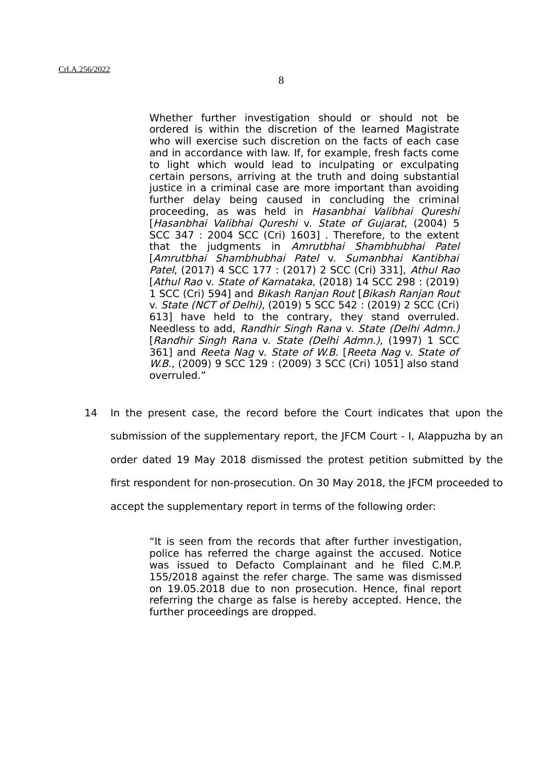Whether further investigation should or should not be ordered is within the discretion of the learned Magistrate who will exercise such discretion on the facts of each case and in accordance with law. If, for example, fresh facts come to light which would lead to inculpating or exculpating certain persons, arriving at the truth and doing substantial justice in a criminal case are more important than avoiding further delay being caused in concluding the criminal proceeding, as was held in Hasanbhai Valibhai Qureshi [Hasanbhai Valibhai Qureshi v. State of Gujarat, (2004) 5 SCC 347 : 2004 SCC (Cri) 1603] . Therefore, to the extent that the judgments in Amrutbhai Shambhubhai Patel [Amrutbhai Shambhubhai Patel v. Sumanbhai Kantibhai Patel, (2017) 4 SCC 177 : (2017) 2 SCC (Cri) 331], Athul Rao [Athul Rao v. State of Karnataka, (2018) 14 SCC 298 : (2019) 1 SCC (Cri) 594] and Bikash Ranjan Rout [Bikash Ranjan Rout v. State (NCT of Delhi), (2019) 5 SCC 542 : (2019) 2 SCC (Cri) 613] have held to the contrary, they stand overruled. Needless to add, Randhir Singh Rana v. State (Delhi Admn.) [Randhir Singh Rana v. State (Delhi Admn.), (1997) 1 SCC 361] and Reeta Nag v. State of W.B. [Reeta Nag v. State of W.B., (2009) 9 SCC 129 : (2009) 3 SCC (Cri) 1051] also stand overruled."

14 In the present case, the record before the Court indicates that upon the submission of the supplementary report, the JFCM Court - I, Alappuzha by an order dated 19 May 2018 dismissed the protest petition submitted by the first respondent for non-prosecution. On 30 May 2018, the JFCM proceeded to accept the supplementary report in terms of the following order:

> "It is seen from the records that after further investigation, police has referred the charge against the accused. Notice was issued to Defacto Complainant and he filed C.M.P. 155/2018 against the refer charge. The same was dismissed on 19.05.2018 due to non prosecution. Hence, final report referring the charge as false is hereby accepted. Hence, the further proceedings are dropped.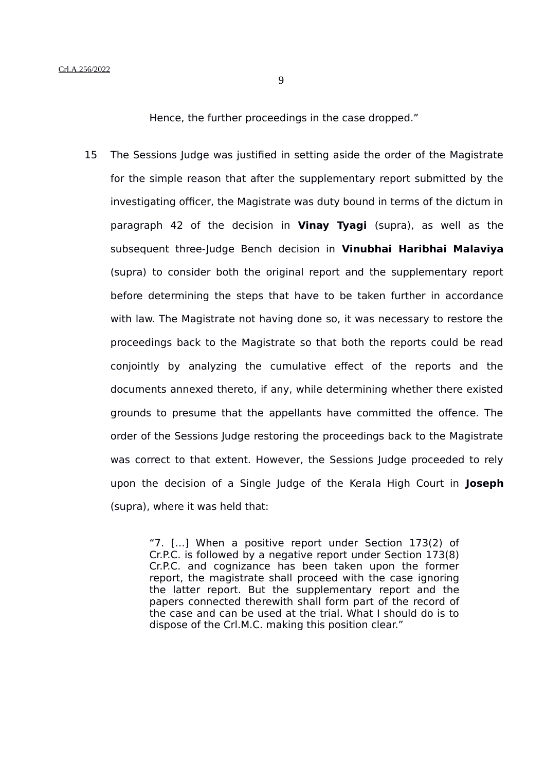Hence, the further proceedings in the case dropped."

15 The Sessions Judge was justified in setting aside the order of the Magistrate for the simple reason that after the supplementary report submitted by the investigating officer, the Magistrate was duty bound in terms of the dictum in paragraph 42 of the decision in **Vinay Tyagi** (supra), as well as the subsequent three-Judge Bench decision in **Vinubhai Haribhai Malaviya** (supra) to consider both the original report and the supplementary report before determining the steps that have to be taken further in accordance with law. The Magistrate not having done so, it was necessary to restore the proceedings back to the Magistrate so that both the reports could be read conjointly by analyzing the cumulative effect of the reports and the documents annexed thereto, if any, while determining whether there existed grounds to presume that the appellants have committed the offence. The order of the Sessions Judge restoring the proceedings back to the Magistrate was correct to that extent. However, the Sessions Judge proceeded to rely upon the decision of a Single Judge of the Kerala High Court in **Joseph** (supra), where it was held that:

> "7. […] When a positive report under Section 173(2) of Cr.P.C. is followed by a negative report under Section 173(8) Cr.P.C. and cognizance has been taken upon the former report, the magistrate shall proceed with the case ignoring the latter report. But the supplementary report and the papers connected therewith shall form part of the record of the case and can be used at the trial. What I should do is to dispose of the Crl.M.C. making this position clear."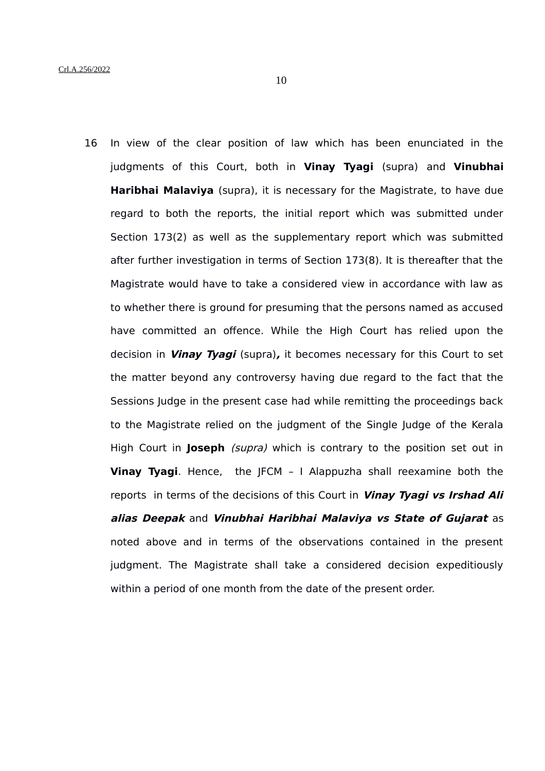16 In view of the clear position of law which has been enunciated in the judgments of this Court, both in **Vinay Tyagi** (supra) and **Vinubhai Haribhai Malaviya** (supra), it is necessary for the Magistrate, to have due regard to both the reports, the initial report which was submitted under Section 173(2) as well as the supplementary report which was submitted after further investigation in terms of Section 173(8). It is thereafter that the Magistrate would have to take a considered view in accordance with law as to whether there is ground for presuming that the persons named as accused have committed an offence. While the High Court has relied upon the decision in **Vinay Tyagi** (supra)**,** it becomes necessary for this Court to set the matter beyond any controversy having due regard to the fact that the Sessions Judge in the present case had while remitting the proceedings back to the Magistrate relied on the judgment of the Single Judge of the Kerala High Court in **Joseph** (supra) which is contrary to the position set out in **Vinay Tyagi**. Hence, the JFCM – I Alappuzha shall reexamine both the reports in terms of the decisions of this Court in **Vinay Tyagi vs Irshad Ali alias Deepak** and **Vinubhai Haribhai Malaviya vs State of Gujarat** as noted above and in terms of the observations contained in the present judgment. The Magistrate shall take a considered decision expeditiously within a period of one month from the date of the present order.